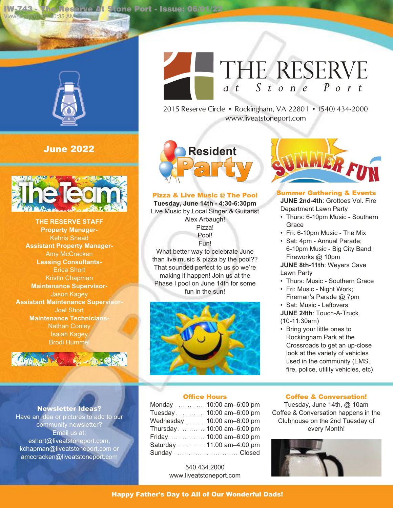**IW-743 - The Reserve At Stone Port - Issue: 06/01/22**



Viewed: 06/01/22 10:35 AM

# **June 2022**



**THE RESERVE STAFF Property Manager-**Kehris Snead **Assistant Property Manager-**Amy McCracken **Leasing Consultants-**Erica Short Kristin Chapman **Maintenance Supervisor-**Jason Kagey **Assistant Maintenance Supervisor-**Joel Short **Maintenance Technicians-**Nathan Conley Isaiah Kagey **Brodi Humme** 



### **Newsletter Ideas?**

Have an idea or pictures to add to our community newsletter? Email us at: eshort@liveatstoneport.com, kchapman@liveatstoneport.com or amccracken@liveatstoneport.com

# THE RESERVE at Stone Port

2015 Reserve Circle • Rockingham, VA 22801 • (540) 434-2000 www.liveatstoneport.com



### **Pizza & Live Music @ The Pool**

**Tuesday, June 14th - 4:30-6:30pm** Live Music by Local Singer & Guitarist Alex Arbaugh! Pizza! Pool! Fun! What better way to celebrate June

than live music & pizza by the pool?? That sounded perfect to us so we're making it happen! Join us at the Phase I pool on June 14th for some fun in the sun!





**Summer Gathering & Events JUNE 2nd-4th**: Grottoes Vol. Fire Department Lawn Party

- Thurs: 6-10pm Music Southern **Grace**
- Fri: 6-10pm Music The Mix
- Sat: 4pm Annual Parade; 6-10pm Music - Big City Band; Fireworks @ 10pm

**JUNE 8th-11th**: Weyers Cave Lawn Party

- Thurs: Music Southern Grace
- Fri: Music Night Work; Fireman's Parade @ 7pm
- Sat: Music Leftovers
- **JUNE 24th**: Touch-A-Truck (10-11:30am)
- Bring your little ones to Rockingham Park at the Crossroads to get an up-close look at the variety of vehicles used in the community (EMS, fire, police, utility vehicles, etc)

### **Office Hours**

| Monday  10:00 am-6:00 pm    |  |
|-----------------------------|--|
| Tuesday  10:00 am-6:00 pm   |  |
| Wednesday  10:00 am-6:00 pm |  |
| Thursday  10:00 am-6:00 pm  |  |
| Friday  10:00 am-6:00 pm    |  |
| Saturday  11:00 am-4:00 pm  |  |
|                             |  |

540.434.2000 www.liveatstoneport.com

### **Coffee & Conversation!**

Tuesday, June 14th, @ 10am Coffee & Conversation happens in the Clubhouse on the 2nd Tuesday of every Month!



### **Happy Father's Day to All of Our Wonderful Dads!**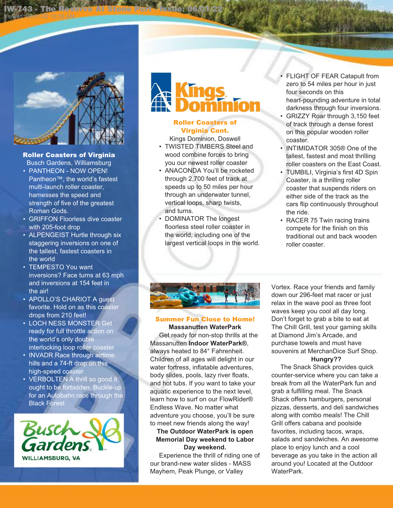

Viewed: 06/01/22 10:35 AM

**IW-743 - The Reserve At Stone Port - Issue: 06/01/22**

# **Roller Coasters of Virginia**

Busch Gardens, Williamsburg • PANTHEON - NOW OPEN!

- Pantheon™, the world's fastest multi-launch roller coaster, harnesses the speed and strength of five of the greatest Roman Gods.
- GRIFFON Floorless dive coaster with 205-foot drop
- ALPENGEIST Hurtle through six staggering inversions on one of the tallest, fastest coasters in the world
- TEMPESTO You want inversions? Face turns at 63 mph and inversions at 154 feet in the air!
- APOLLO'S CHARIOT A guest favorite. Hold on as this coaster drops from 210 feet!
- LOCH NESS MONSTER Get ready for full throttle action on the world's only double interlocking loop roller coaster
- INVADR Race through airtime hills and a 74-ft drop on this high-speed coaster
- VERBOLTEN A thrill so good it ought to be forbidden. Buckle-up for an Autobahn race through the Black Forest



# **Roller Coasters of Virginia Cont.**

Kings Dominion, Doswell

- TWISTED TIMBERS Steel and wood combine forces to bring you our newest roller coaster
- ANACONDA You'll be rocketed through 2,700 feet of track at speeds up to 50 miles per hour through an underwater tunnel, vertical loops, sharp twists, and turns.
- DOMINATOR The longest floorless steel roller coaster in the world, including one of the largest vertical loops in the world.
- FLIGHT OF FEAR Catapult from zero to 54 miles per hour in just four seconds on this heart-pounding adventure in total darkness through four inversions.
- GRIZZY Roar through 3,150 feet of track through a dense forest on this popular wooden roller coaster.
- INTIMIDATOR 305® One of the tallest, fastest and most thrilling roller coasters on the East Coast.
- TUMBILI, Virginia's first 4D Spin Coaster, is a thrilling roller coaster that suspends riders on either side of the track as the cars flip continuously throughout the ride.
- RACER 75 Twin racing trains compete for the finish on this traditional out and back wooden roller coaster.



# **Summer Fun Close to Home!**

**Massanutten WaterPark** Get ready for non-stop thrills at the Massanutten **Indoor WaterPark®**, always heated to 84° Fahrenheit. Children of all ages will delight in our water fortress, inflatable adventures, body slides, pools, lazy river floats, and hot tubs. If you want to take your aquatic experience to the next level, learn how to surf on our FlowRider® Endless Wave. No matter what adventure you choose, you'll be sure to meet new friends along the way!

# **The Outdoor WaterPark is open Memorial Day weekend to Labor Day weekend.**

Experience the thrill of riding one of our brand-new water slides - MASS Mayhem, Peak Plunge, or Valley

Vortex. Race your friends and family down our 296-feet mat racer or just relax in the wave pool as three foot waves keep you cool all day long. Don't forget to grab a bite to eat at The Chill Grill, test your gaming skills at Diamond Jim's Arcade, and purchase towels and must have souvenirs at MerchanDice Surf Shop. **Hungry??**

# The Snack Shack provides quick counter-service where you can take a break from all the WaterPark fun and grab a fulfilling meal. The Snack Shack offers hamburgers, personal pizzas, desserts, and deli sandwiches along with combo meals! The Chill Grill offers cabana and poolside favorites, including tacos, wraps, salads and sandwiches. An awesome place to enjoy lunch and a cool beverage as you take in the action all around you! Located at the Outdoor WaterPark.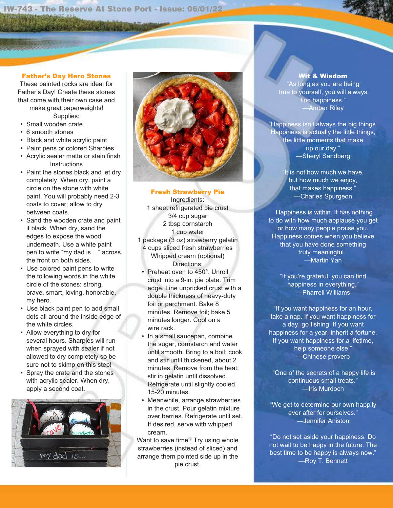**IW-743 - The Reserve At Stone Port - Issue: 06/01/22** Viewed: 06/01/22 10:35 AM

**Difference of the authority** 

### **Father's Day Hero Stones**

These painted rocks are ideal for Father's Day! Create these stones that come with their own case and make great paperweights!

Supplies:

- Small wooden crate
- 6 smooth stones
- Black and white acrylic paint
- Paint pens or colored Sharpies
- Acrylic sealer matte or stain finsh **Instructions**
- Paint the stones black and let dry completely. When dry, paint a circle on the stone with white paint. You will probably need 2-3 coats to cover; allow to dry between coats.
- Sand the wooden crate and paint it black. When dry, sand the edges to expose the wood underneath. Use a white paint pen to write "my dad is ..." across the front on both sides.
- Use colored paint pens to write the following words in the white circle of the stones: strong, brave, smart, loving, honorable, my hero.
- Use black paint pen to add small dots all around the inside edge of the white circles.
- Allow everything to dry for several hours. Sharpies will run when sprayed with sealer if not allowed to dry completely so be sure not to skimp on this step!
- Spray the crate and the stones with acrylic sealer. When dry, apply a second coat.





**Fresh Strawberry Pie**

Ingredients: 1 sheet refrigerated pie crust 3/4 cup sugar 2 tbsp cornstarch 1 cup water 1 package (3 oz) strawberry gelatin 4 cups sliced fresh strawberries Whipped cream (optional) Directions:

- Preheat oven to 450°. Unroll crust into a 9-in. pie plate. Trim edge. Line unpricked crust with a double thickness of heavy-duty foil or parchment. Bake 8 minutes. Remove foil; bake 5 minutes longer. Cool on a wire rack.
- In a small saucepan, combine the sugar, cornstarch and water until smooth. Bring to a boil; cook and stir until thickened, about 2 minutes. Remove from the heat; stir in gelatin until dissolved. Refrigerate until slightly cooled, 15-20 minutes.
- Meanwhile, arrange strawberries in the crust. Pour gelatin mixture over berries. Refrigerate until set. If desired, serve with whipped cream.

Want to save time? Try using whole strawberries (instead of sliced) and arrange them pointed side up in the pie crust.

**Wit & Wisdom**

"As long as you are being true to yourself, you will always find happiness." —Amber Riley

Happiness isn't always the big things. Happiness is actually the little things, the little moments that make up our day." —Sheryl Sandberg

> "It is not how much we have, but how much we enjoy, that makes happiness." —Charles Spurgeon

"Happiness is within. It has nothing to do with how much applause you get or how many people praise you. Happiness comes when you believe that you have done something truly meaningful." —Martin Yan

"If you're grateful, you can find happiness in everything." —Pharrell Williams

"If you want happiness for an hour, take a nap. If you want happiness for a day, go fishing. If you want happiness for a year, inherit a fortune. If you want happiness for a lifetime, help someone else." —Chinese proverb

"One of the secrets of a happy life is continuous small treats." —Iris Murdoch

"We get to determine our own happily ever after for ourselves." —Jennifer Aniston

"Do not set aside your happiness. Do not wait to be happy in the future. The best time to be happy is always now." —Roy T. Bennett